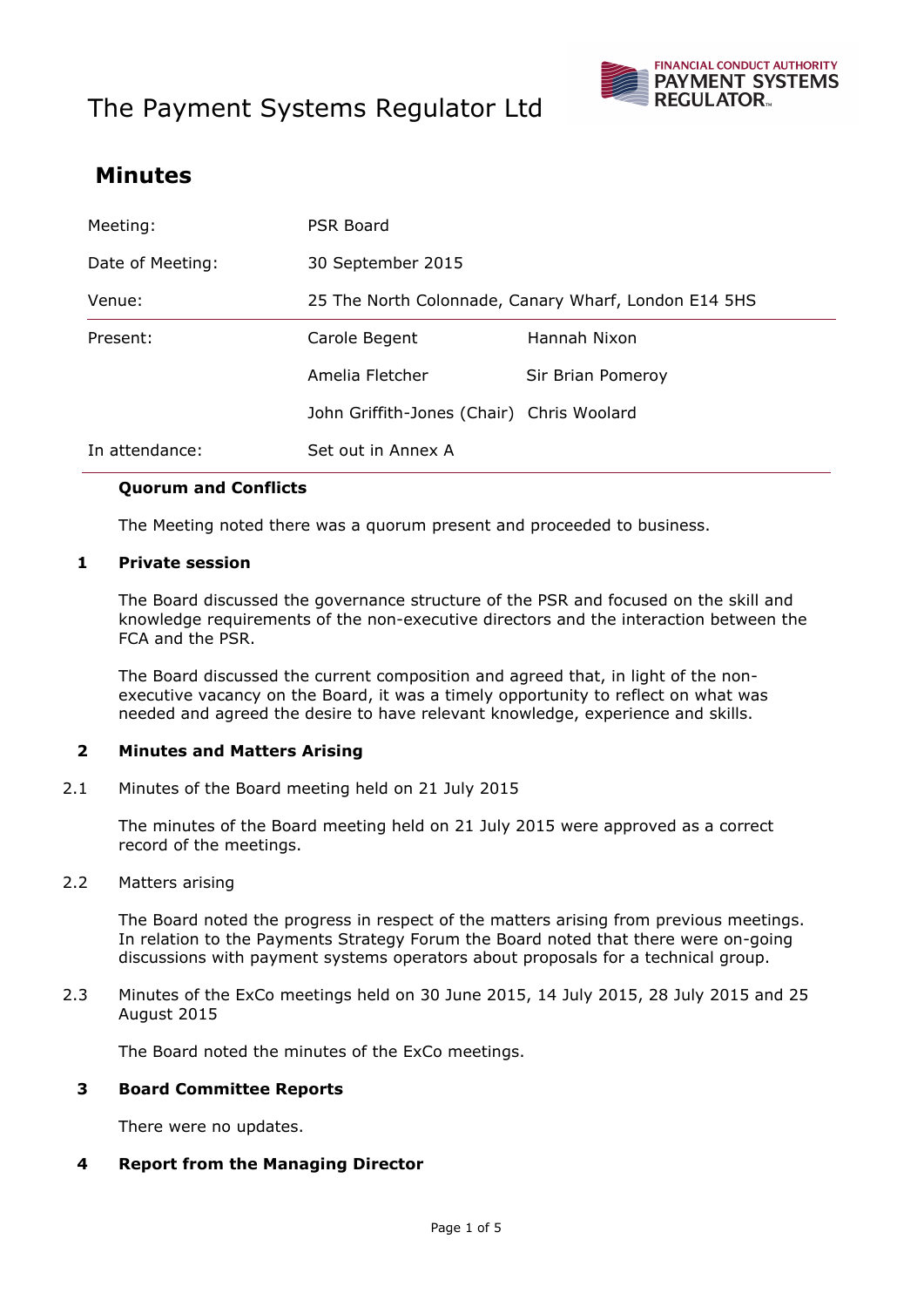# The Payment Systems Regulator Ltd



# **Minutes**

| Meeting:         | <b>PSR Board</b>                                     |                   |
|------------------|------------------------------------------------------|-------------------|
| Date of Meeting: | 30 September 2015                                    |                   |
| Venue:           | 25 The North Colonnade, Canary Wharf, London E14 5HS |                   |
| Present:         | Carole Begent                                        | Hannah Nixon      |
|                  | Amelia Fletcher                                      | Sir Brian Pomeroy |
|                  | John Griffith-Jones (Chair) Chris Woolard            |                   |
| In attendance:   | Set out in Annex A                                   |                   |

### **Quorum and Conflicts**

The Meeting noted there was a quorum present and proceeded to business.

#### **1 Private session**

The Board discussed the governance structure of the PSR and focused on the skill and knowledge requirements of the non-executive directors and the interaction between the FCA and the PSR.

The Board discussed the current composition and agreed that, in light of the nonexecutive vacancy on the Board, it was a timely opportunity to reflect on what was needed and agreed the desire to have relevant knowledge, experience and skills.

# **2 Minutes and Matters Arising**

2.1 Minutes of the Board meeting held on 21 July 2015

The minutes of the Board meeting held on 21 July 2015 were approved as a correct record of the meetings.

2.2 Matters arising

The Board noted the progress in respect of the matters arising from previous meetings. In relation to the Payments Strategy Forum the Board noted that there were on-going discussions with payment systems operators about proposals for a technical group.

2.3 Minutes of the ExCo meetings held on 30 June 2015, 14 July 2015, 28 July 2015 and 25 August 2015

The Board noted the minutes of the ExCo meetings.

#### **3 Board Committee Reports**

There were no updates.

#### **4 Report from the Managing Director**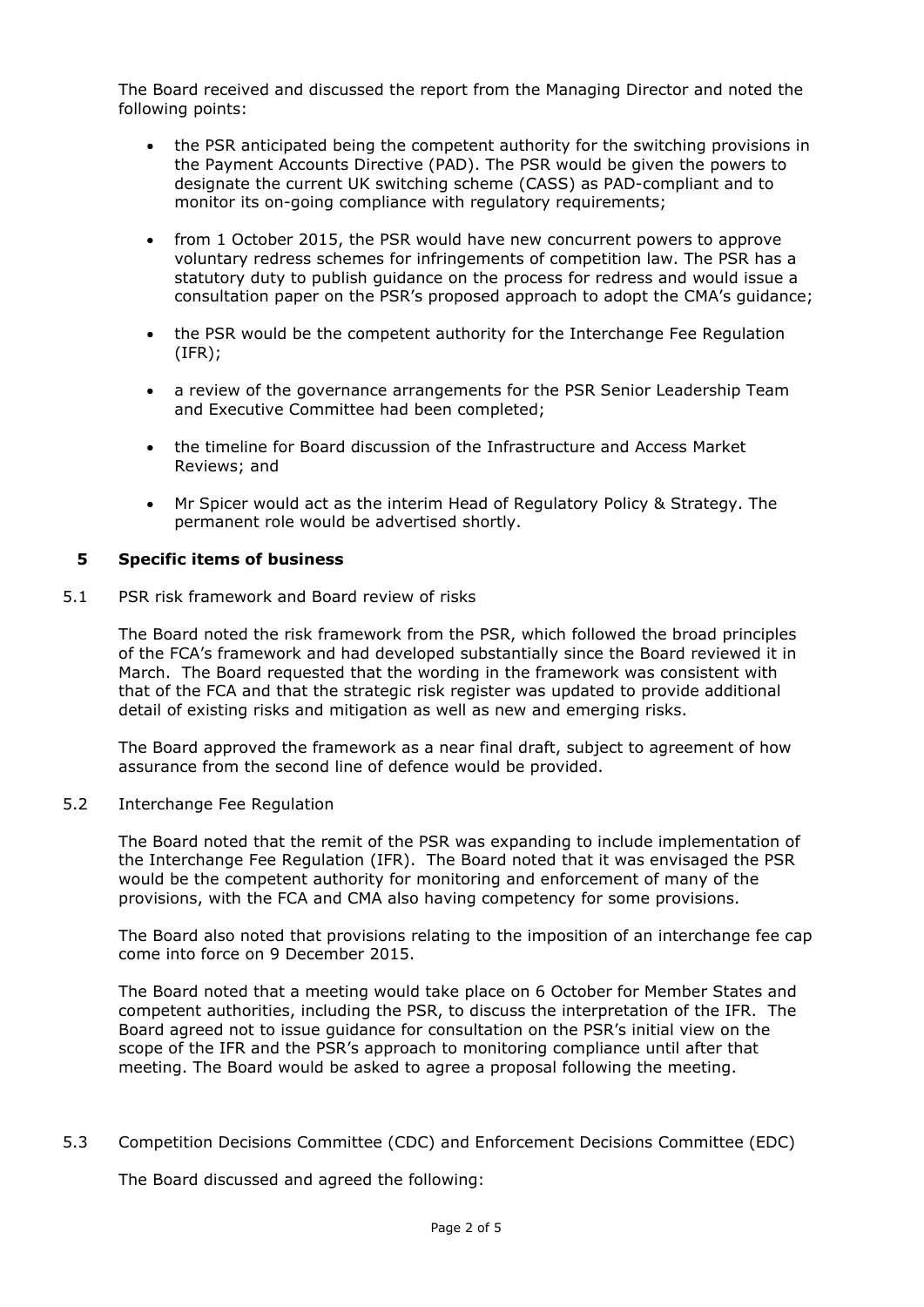The Board received and discussed the report from the Managing Director and noted the following points:

- the PSR anticipated being the competent authority for the switching provisions in the Payment Accounts Directive (PAD). The PSR would be given the powers to designate the current UK switching scheme (CASS) as PAD-compliant and to monitor its on-going compliance with regulatory requirements;
- from 1 October 2015, the PSR would have new concurrent powers to approve voluntary redress schemes for infringements of competition law. The PSR has a statutory duty to publish guidance on the process for redress and would issue a consultation paper on the PSR's proposed approach to adopt the CMA's guidance;
- the PSR would be the competent authority for the Interchange Fee Regulation (IFR);
- a review of the governance arrangements for the PSR Senior Leadership Team and Executive Committee had been completed;
- the timeline for Board discussion of the Infrastructure and Access Market Reviews; and
- Mr Spicer would act as the interim Head of Regulatory Policy & Strategy. The permanent role would be advertised shortly.

### **5 Specific items of business**

5.1 PSR risk framework and Board review of risks

The Board noted the risk framework from the PSR, which followed the broad principles of the FCA's framework and had developed substantially since the Board reviewed it in March. The Board requested that the wording in the framework was consistent with that of the FCA and that the strategic risk register was updated to provide additional detail of existing risks and mitigation as well as new and emerging risks.

The Board approved the framework as a near final draft, subject to agreement of how assurance from the second line of defence would be provided.

#### 5.2 Interchange Fee Regulation

The Board noted that the remit of the PSR was expanding to include implementation of the Interchange Fee Regulation (IFR). The Board noted that it was envisaged the PSR would be the competent authority for monitoring and enforcement of many of the provisions, with the FCA and CMA also having competency for some provisions.

The Board also noted that provisions relating to the imposition of an interchange fee cap come into force on 9 December 2015.

The Board noted that a meeting would take place on 6 October for Member States and competent authorities, including the PSR, to discuss the interpretation of the IFR. The Board agreed not to issue guidance for consultation on the PSR's initial view on the scope of the IFR and the PSR's approach to monitoring compliance until after that meeting. The Board would be asked to agree a proposal following the meeting.

5.3 Competition Decisions Committee (CDC) and Enforcement Decisions Committee (EDC)

The Board discussed and agreed the following: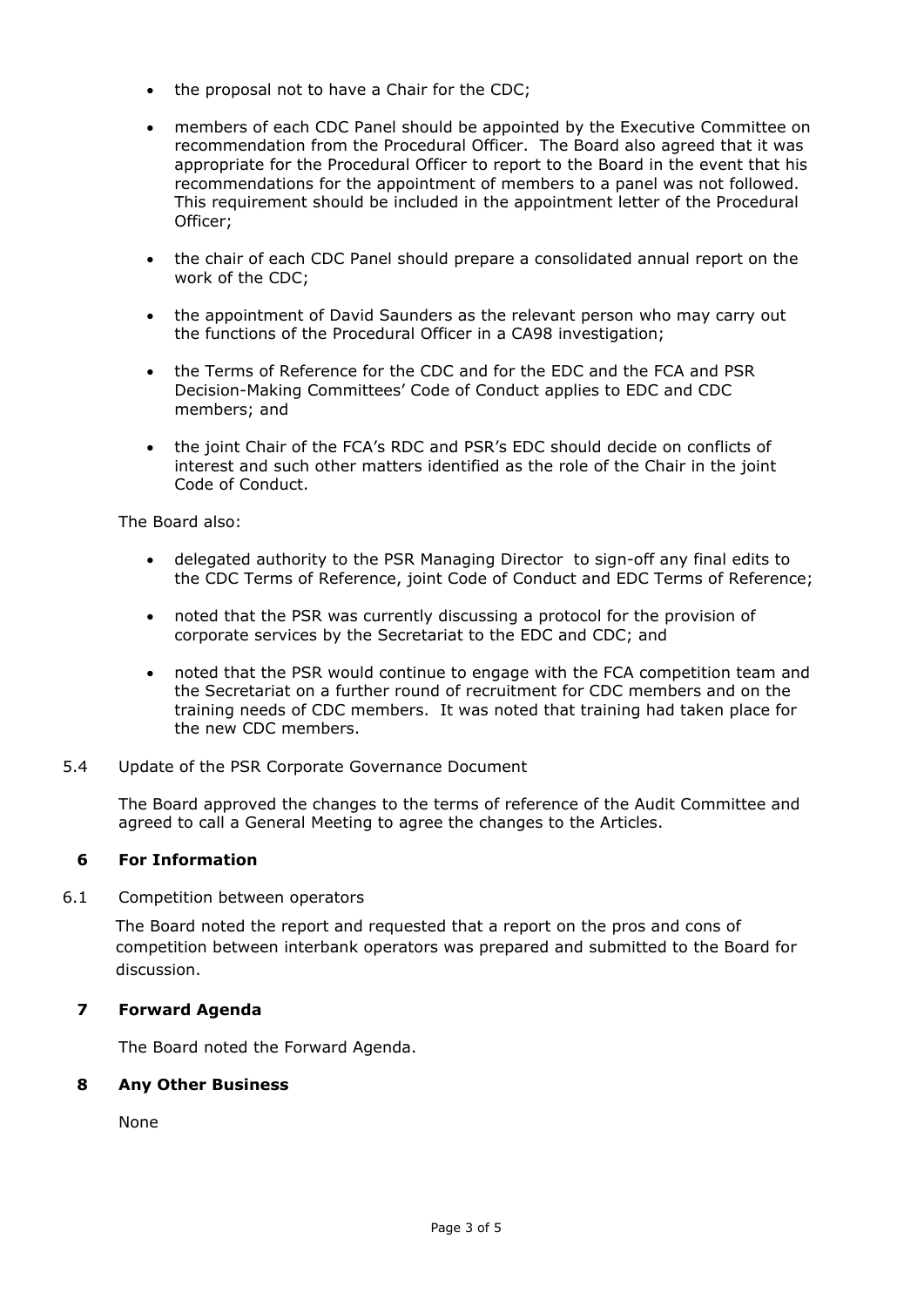- the proposal not to have a Chair for the CDC;
- members of each CDC Panel should be appointed by the Executive Committee on recommendation from the Procedural Officer. The Board also agreed that it was appropriate for the Procedural Officer to report to the Board in the event that his recommendations for the appointment of members to a panel was not followed. This requirement should be included in the appointment letter of the Procedural Officer;
- the chair of each CDC Panel should prepare a consolidated annual report on the work of the CDC;
- the appointment of David Saunders as the relevant person who may carry out the functions of the Procedural Officer in a CA98 investigation;
- the Terms of Reference for the CDC and for the EDC and the FCA and PSR Decision-Making Committees' Code of Conduct applies to EDC and CDC members; and
- the joint Chair of the FCA's RDC and PSR's EDC should decide on conflicts of interest and such other matters identified as the role of the Chair in the joint Code of Conduct.

The Board also:

- delegated authority to the PSR Managing Director to sign-off any final edits to the CDC Terms of Reference, joint Code of Conduct and EDC Terms of Reference;
- noted that the PSR was currently discussing a protocol for the provision of corporate services by the Secretariat to the EDC and CDC; and
- noted that the PSR would continue to engage with the FCA competition team and the Secretariat on a further round of recruitment for CDC members and on the training needs of CDC members. It was noted that training had taken place for the new CDC members.
- 5.4 Update of the PSR Corporate Governance Document

The Board approved the changes to the terms of reference of the Audit Committee and agreed to call a General Meeting to agree the changes to the Articles.

# **6 For Information**

6.1 Competition between operators

The Board noted the report and requested that a report on the pros and cons of competition between interbank operators was prepared and submitted to the Board for discussion.

# **7 Forward Agenda**

The Board noted the Forward Agenda.

#### **8 Any Other Business**

None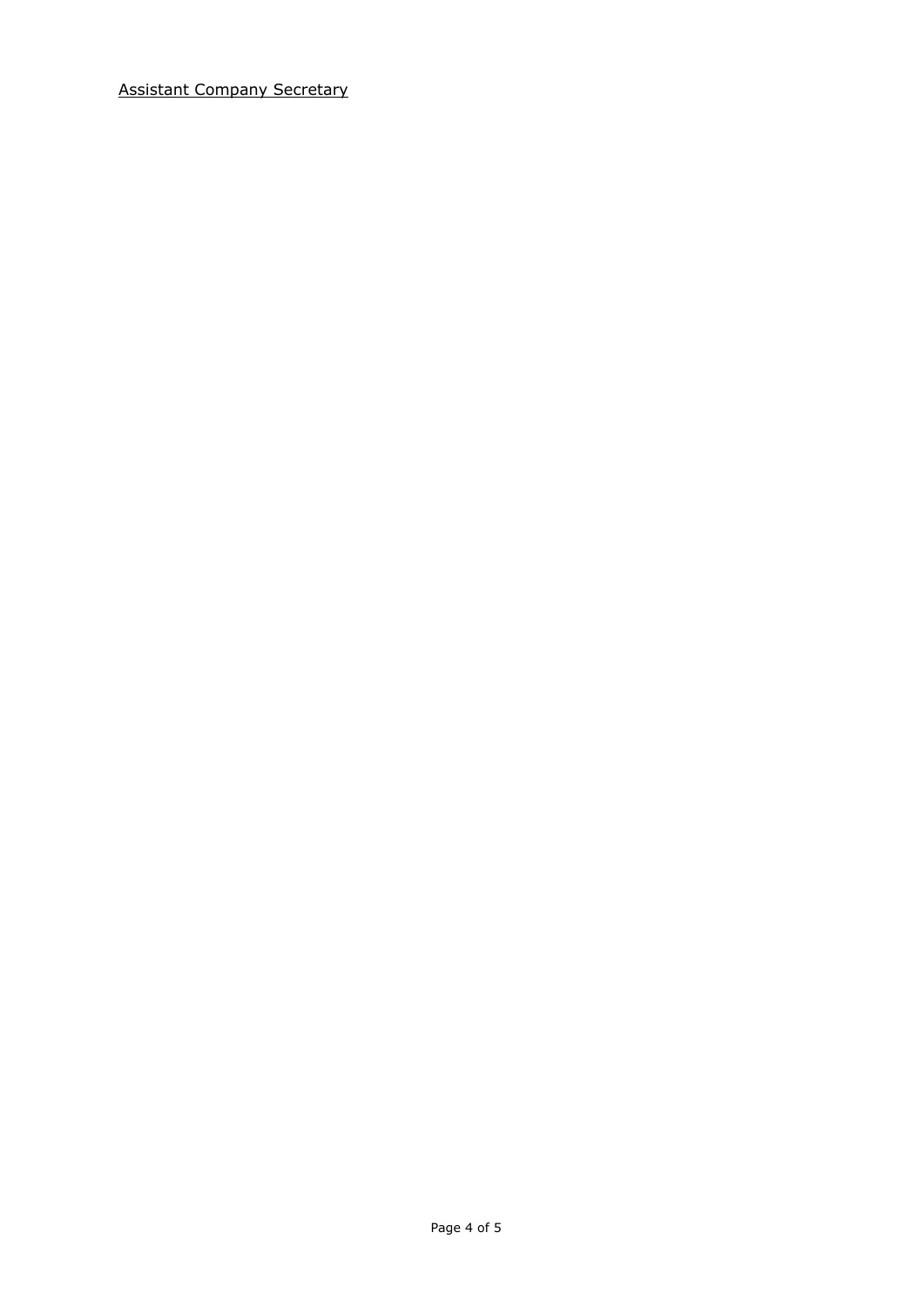Assistant Company Secretary